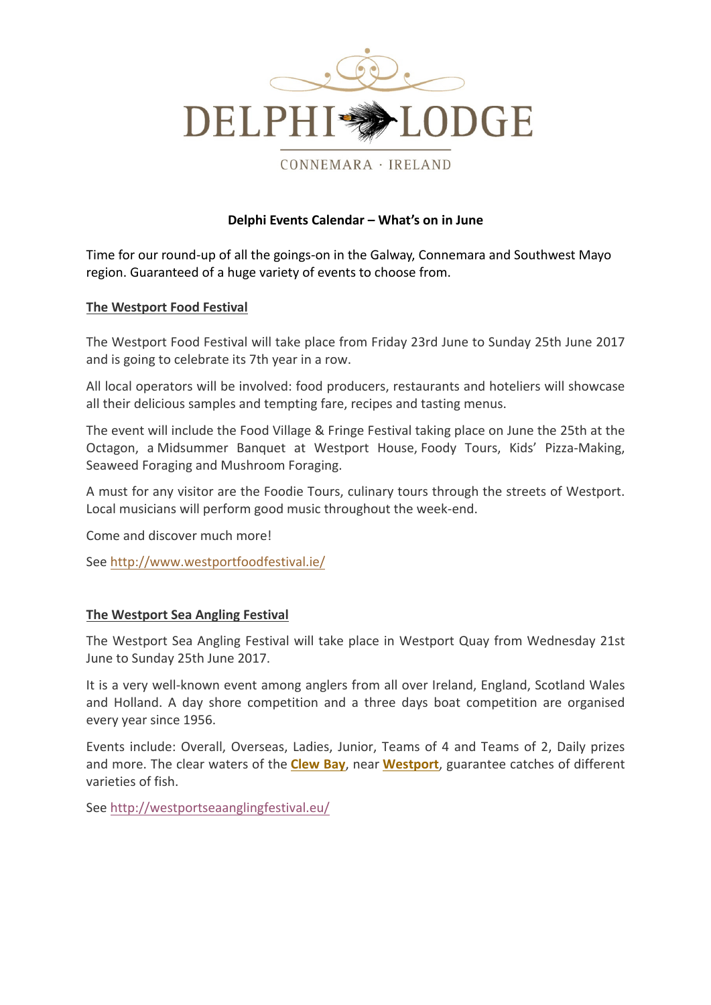

CONNEMARA · IRELAND

### **Delphi Events Calendar – What's on in June**

Time for our round-up of all the goings-on in the Galway, Connemara and Southwest Mayo region. Guaranteed of a huge variety of events to choose from.

### **The Westport Food Festival**

The Westport Food Festival will take place from Friday 23rd June to Sunday 25th June 2017 and is going to celebrate its 7th year in a row.

All local operators will be involved: food producers, restaurants and hoteliers will showcase all their delicious samples and tempting fare, recipes and tasting menus.

The event will include the Food Village & Fringe Festival taking place on June the 25th at the Octagon, a Midsummer Banquet at Westport House, Foody Tours, Kids' Pizza-Making, Seaweed Foraging and Mushroom Foraging.

A must for any visitor are the Foodie Tours, culinary tours through the streets of Westport. Local musicians will perform good music throughout the week-end.

Come and discover much morel

See http://www.westportfoodfestival.ie/

# **The Westport Sea Angling Festival**

The Westport Sea Angling Festival will take place in Westport Quay from Wednesday 21st June to Sunday 25th June 2017.

It is a very well-known event among anglers from all over Ireland, England, Scotland Wales and Holland. A day shore competition and a three days boat competition are organised every year since 1956.

Events include: Overall, Overseas, Ladies, Junior, Teams of 4 and Teams of 2, Daily prizes and more. The clear waters of the **Clew Bay**, near **Westport**, guarantee catches of different varieties of fish

See http://westportseaanglingfestival.eu/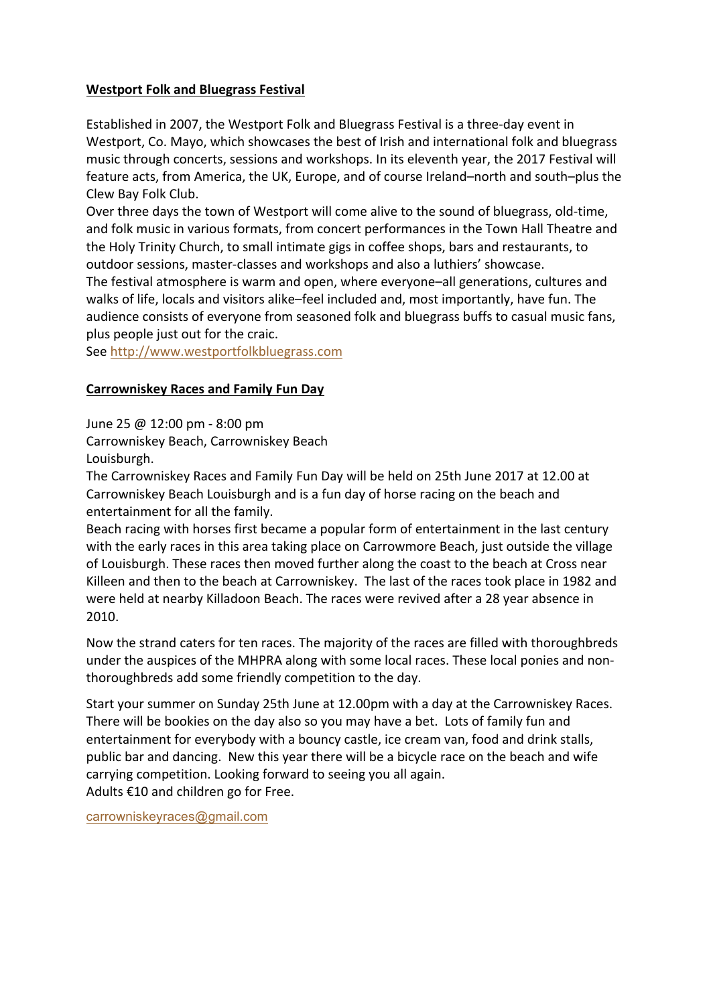# **Westport Folk and Bluegrass Festival**

Established in 2007, the Westport Folk and Bluegrass Festival is a three-day event in Westport, Co. Mayo, which showcases the best of Irish and international folk and bluegrass music through concerts, sessions and workshops. In its eleventh year, the 2017 Festival will feature acts, from America, the UK, Europe, and of course Ireland–north and south–plus the Clew Bay Folk Club.

Over three days the town of Westport will come alive to the sound of bluegrass, old-time, and folk music in various formats, from concert performances in the Town Hall Theatre and the Holy Trinity Church, to small intimate gigs in coffee shops, bars and restaurants, to outdoor sessions, master-classes and workshops and also a luthiers' showcase.

The festival atmosphere is warm and open, where everyone–all generations, cultures and walks of life, locals and visitors alike–feel included and, most importantly, have fun. The audience consists of everyone from seasoned folk and bluegrass buffs to casual music fans, plus people just out for the craic.

See http://www.westportfolkbluegrass.com

# **Carrowniskey Races and Family Fun Day**

June 25 @ 12:00 pm - 8:00 pm

Carrowniskey Beach, Carrowniskey Beach

Louisburgh.

The Carrowniskey Races and Family Fun Day will be held on 25th June 2017 at 12.00 at Carrowniskey Beach Louisburgh and is a fun day of horse racing on the beach and entertainment for all the family.

Beach racing with horses first became a popular form of entertainment in the last century with the early races in this area taking place on Carrowmore Beach, just outside the village of Louisburgh. These races then moved further along the coast to the beach at Cross near Killeen and then to the beach at Carrowniskey. The last of the races took place in 1982 and were held at nearby Killadoon Beach. The races were revived after a 28 year absence in 2010.

Now the strand caters for ten races. The majority of the races are filled with thoroughbreds under the auspices of the MHPRA along with some local races. These local ponies and nonthoroughbreds add some friendly competition to the day.

Start your summer on Sunday 25th June at 12.00pm with a day at the Carrowniskey Races. There will be bookies on the day also so you may have a bet. Lots of family fun and entertainment for everybody with a bouncy castle, ice cream van, food and drink stalls, public bar and dancing. New this year there will be a bicycle race on the beach and wife carrying competition. Looking forward to seeing you all again. Adults  $£10$  and children go for Free.

carrowniskeyraces@gmail.com